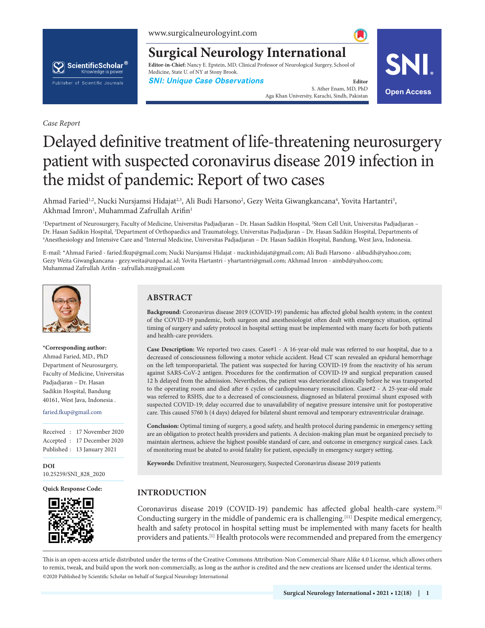

**Surgical Neurology International**

**Editor-in-Chief:** Nancy E. Epstein, MD, Clinical Professor of Neurological Surgery, School of Medicine, State U. of NY at Stony Brook.

**SNI: Unique Case Observations Editor Editor** 

S. Ather Enam, MD, PhD Aga Khan University, Karachi, Sindh, Pakistan **Open Access**



*Case Report*

# Delayed definitive treatment of life-threatening neurosurgery patient with suspected coronavirus disease 2019 infection in the midst of pandemic: Report of two cases

Ahmad Faried<sup>1,2</sup>, Nucki Nursjamsi Hidajat<sup>2,3</sup>, Ali Budi Harsono<sup>2</sup>, Gezy Weita Giwangkancana<sup>4</sup>, Yovita Hartantri<sup>5</sup>, Akhmad Imron<sup>1</sup>, Muhammad Zafrullah Arifin<sup>1</sup>

1 Department of Neurosurgery, Faculty of Medicine, Universitas Padjadjaran – Dr. Hasan Sadikin Hospital, 2 Stem Cell Unit, Universitas Padjadjaran – Dr. Hasan Sadikin Hospital, <sup>3</sup>Department of Orthopaedics and Traumatology, Universitas Padjadjaran – Dr. Hasan Sadikin Hospital, Departments of<br><sup>4</sup>Anesthesiology and Intensive Care and <sup>5</sup>Internal Medicine, Universitas Pa Anesthesiology and Intensive Care and <sup>5</sup>Internal Medicine, Universitas Padjadjaran – Dr. Hasan Sadikin Hospital, Bandung, West Java, Indonesia.

E-mail: \*Ahmad Faried - faried.fkup@gmail.com; Nucki Nursjamsi Hidajat - nuckinhidajat@gmail.com; Ali Budi Harsono - alibudih@yahoo.com; Gezy Weita Giwangkancana - gezy.weita@unpad.ac.id; Yovita Hartantri - yhartantri@gmail.com; Akhmad Imron - aimbd@yahoo.com; Muhammad Zafrullah Arifin - zafrullah.mz@gmail.com



#### **\*Corresponding author:**

Ahmad Faried, MD., PhD Department of Neurosurgery, Faculty of Medicine, Universitas Padjadjaran – Dr. Hasan Sadikin Hospital, Bandung 40161, West Java, Indonesia .

#### faried.fkup@gmail.com

Received : 17 November 2020 Accepted : 17 December 2020 Published : 13 January 2021

**DOI** 10.25259/SNI\_828\_2020

**Quick Response Code:**



# **ABSTRACT**

**Background:** Coronavirus disease 2019 (COVID-19) pandemic has affected global health system; in the context of the COVID-19 pandemic, both surgeon and anesthesiologist often dealt with emergency situation, optimal timing of surgery and safety protocol in hospital setting must be implemented with many facets for both patients and health-care providers.

Case Description: We reported two cases. Case#1 - A 16-year-old male was referred to our hospital, due to a decreased of consciousness following a motor vehicle accident. Head CT scan revealed an epidural hemorrhage on the left temporoparietal. The patient was suspected for having COVID-19 from the reactivity of his serum against SARS-CoV-2 antigen. Procedures for the confirmation of COVID-19 and surgical preparation caused 12 h delayed from the admission. Nevertheless, the patient was deteriorated clinically before he was transported to the operating room and died after 6 cycles of cardiopulmonary resuscitation. Case#2 - A 25-year-old male was referred to RSHS, due to a decreased of consciousness, diagnosed as bilateral proximal shunt exposed with suspected COVID-19; delay occurred due to unavailability of negative pressure intensive unit for postoperative care. This caused 5760 h (4 days) delayed for bilateral shunt removal and temporary extraventricular drainage.

**Conclusion:** Optimal timing of surgery, a good safety, and health protocol during pandemic in emergency setting are an obligation to protect health providers and patients. A decision-making plan must be organized precisely to maintain alertness, achieve the highest possible standard of care, and outcome in emergency surgical cases. Lack of monitoring must be abated to avoid fatality for patient, especially in emergency surgery setting.

**Keywords:** Definitive treatment, Neurosurgery, Suspected Coronavirus disease 2019 patients

# **INTRODUCTION**

Coronavirus disease 2019 (COVID-19) pandemic has affected global health-care system.[5] Conducting surgery in the middle of pandemic era is challenging.[11] Despite medical emergency, health and safety protocol in hospital setting must be implemented with many facets for health providers and patients.<sup>[1]</sup> Health protocols were recommended and prepared from the emergency

is is an open-access article distributed under the terms of the Creative Commons Attribution-Non Commercial-Share Alike 4.0 License, which allows others to remix, tweak, and build upon the work non-commercially, as long as the author is credited and the new creations are licensed under the identical terms. ©2020 Published by Scientific Scholar on behalf of Surgical Neurology International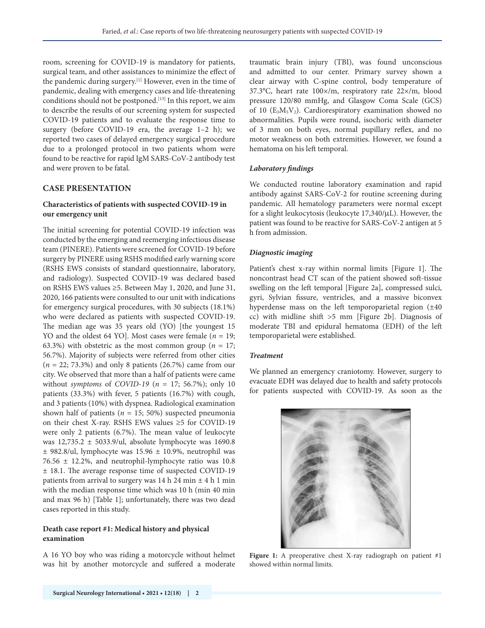room, screening for COVID-19 is mandatory for patients, surgical team, and other assistances to minimize the effect of the pandemic during surgery.[1] However, even in the time of pandemic, dealing with emergency cases and life-threatening conditions should not be postponed.[13] In this report, we aim to describe the results of our screening system for suspected COVID-19 patients and to evaluate the response time to surgery (before COVID-19 era, the average  $1-2$  h); we reported two cases of delayed emergency surgical procedure due to a prolonged protocol in two patients whom were found to be reactive for rapid IgM SARS-CoV-2 antibody test and were proven to be fatal.

# **CASE PRESENTATION**

# **Characteristics of patients with suspected COVID-19 in our emergency unit**

The initial screening for potential COVID-19 infection was conducted by the emerging and reemerging infectious disease team (PINERE). Patients were screened for COVID-19 before surgery by PINERE using RSHS modified early warning score (RSHS EWS consists of standard questionnaire, laboratory, and radiology). Suspected COVID-19 was declared based on RSHS EWS values ≥5. Between May 1, 2020, and June 31, 2020, 166 patients were consulted to our unit with indications for emergency surgical procedures, with 30 subjects (18.1%) who were declared as patients with suspected COVID-19. The median age was 35 years old (YO) [the youngest 15 YO and the oldest 64 YO]. Most cases were female (*n* = 19; 63.3%) with obstetric as the most common group ( $n = 17$ ; 56.7%). Majority of subjects were referred from other cities (*n* = 22; 73.3%) and only 8 patients (26.7%) came from our city. We observed that more than a half of patients were came without *symptoms* of *COVID*-*19* (*n* = 17; 56.7%); only 10 patients (33.3%) with fever, 5 patients (16.7%) with cough, and 3 patients (10%) with dyspnea. Radiological examination shown half of patients ( $n = 15$ ; 50%) suspected pneumonia on their chest X-ray. RSHS EWS values ≥5 for COVID-19 were only 2 patients (6.7%). The mean value of leukocyte was 12,735.2 ± 5033.9/ul, absolute lymphocyte was 1690.8  $±$  982.8/ul, lymphocyte was 15.96  $±$  10.9%, neutrophil was 76.56 ± 12.2%, and neutrophil-lymphocyte ratio was 10.8 ± 18.1. The average response time of suspected COVID-19 patients from arrival to surgery was 14 h 24 min  $\pm$  4 h 1 min with the median response time which was 10 h (min 40 min and max 96 h) [Table 1]; unfortunately, there was two dead cases reported in this study.

## **Death case report #1: Medical history and physical examination**

A 16 YO boy who was riding a motorcycle without helmet was hit by another motorcycle and suffered a moderate traumatic brain injury (TBI), was found unconscious and admitted to our center. Primary survey shown a clear airway with C-spine control, body temperature of 37.3°C, heart rate 100×/m, respiratory rate 22×/m, blood pressure 120/80 mmHg, and Glasgow Coma Scale (GCS) of 10  $(E_3M_5V_2)$ . Cardiorespiratory examination showed no abnormalities. Pupils were round, isochoric with diameter of 3 mm on both eyes, normal pupillary reflex, and no motor weakness on both extremities. However, we found a hematoma on his left temporal.

## *Laboratory findings*

We conducted routine laboratory examination and rapid antibody against SARS-CoV-2 for routine screening during pandemic. All hematology parameters were normal except for a slight leukocytosis (leukocyte 17,340/μL). However, the patient was found to be reactive for SARS-CoV-2 antigen at 5 h from admission.

## *Diagnostic imaging*

Patient's chest x-ray within normal limits [Figure 1]. The noncontrast head CT scan of the patient showed soft-tissue swelling on the left temporal [Figure 2a], compressed sulci, gyri, Sylvian fissure, ventricles, and a massive biconvex hyperdense mass on the left temporoparietal region (±40 cc) with midline shift >5 mm [Figure 2b]. Diagnosis of moderate TBI and epidural hematoma (EDH) of the left temporoparietal were established.

## *Treatment*

We planned an emergency craniotomy. However, surgery to evacuate EDH was delayed due to health and safety protocols for patients suspected with COVID-19. As soon as the



Figure 1: A preoperative chest X-ray radiograph on patient #1 showed within normal limits.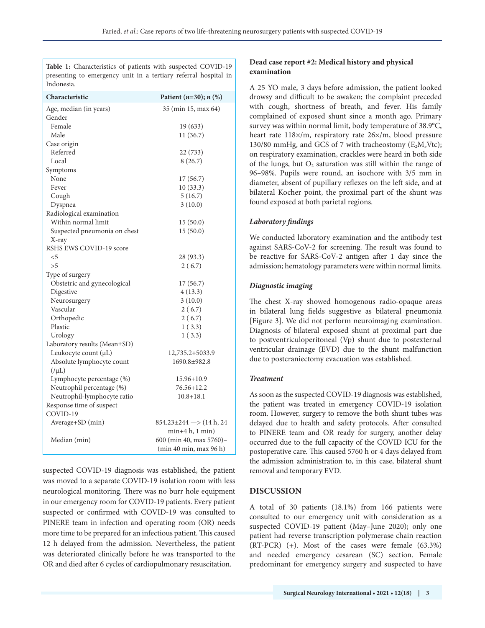**Table 1:** Characteristics of patients with suspected COVID-19 presenting to emergency unit in a tertiary referral hospital in Indonesia.

| Characteristic               | Patient $(n=30); n$ (%)                |
|------------------------------|----------------------------------------|
| Age, median (in years)       | 35 (min 15, max 64)                    |
| Gender                       |                                        |
| Female                       | 19 (633)                               |
| Male                         | 11 (36.7)                              |
| Case origin                  |                                        |
| Referred                     | 22 (733)                               |
| Local                        | 8(26.7)                                |
| Symptoms                     |                                        |
| None                         | 17(56.7)                               |
| Fever                        | 10(33.3)                               |
| Cough                        | 5(16.7)                                |
| Dyspnea                      | 3(10.0)                                |
| Radiological examination     |                                        |
| Within normal limit          | 15(50.0)                               |
| Suspected pneumonia on chest | 15(50.0)                               |
| X-ray                        |                                        |
| RSHS EWS COVID-19 score      |                                        |
| $<$ 5                        | 28 (93.3)                              |
| > 5                          | 2(6.7)                                 |
| Type of surgery              |                                        |
| Obstetric and gynecological  | 17(56.7)                               |
| Digestive                    | 4(13.3)                                |
| Neurosurgery                 | 3(10.0)                                |
| Vascular                     | 2(6.7)                                 |
| Orthopedic                   | 2(6.7)                                 |
| Plastic                      | 1(3.3)                                 |
| Urology                      | 1(3.3)                                 |
| Laboratory results (Mean±SD) |                                        |
| Leukocyte count (µL)         | 12,735.2+5033.9                        |
| Absolute lymphocyte count    | 1690.8±982.8                           |
| $(\mu L)$                    |                                        |
| Lymphocyte percentage (%)    | $15.96 + 10.9$                         |
| Neutrophil percentage (%)    | 76.56+12.2                             |
| Neutrophil-lymphocyte ratio  | $10.8 + 18.1$                          |
| Response time of suspect     |                                        |
| COVID-19                     |                                        |
| Average+SD (min)             | $854.23 \pm 244 \rightarrow (14 h, 24$ |
|                              | $min+4 h, 1 min)$                      |
| Median (min)                 | 600 (min 40, max 5760)-                |
|                              | (min 40 min, max 96 h)                 |

suspected COVID-19 diagnosis was established, the patient was moved to a separate COVID-19 isolation room with less neurological monitoring. There was no burr hole equipment in our emergency room for COVID-19 patients. Every patient suspected or confirmed with COVID-19 was consulted to PINERE team in infection and operating room (OR) needs more time to be prepared for an infectious patient. This caused 12 h delayed from the admission. Nevertheless, the patient was deteriorated clinically before he was transported to the OR and died after 6 cycles of cardiopulmonary resuscitation.

# **Dead case report #2: Medical history and physical examination**

A 25 YO male, 3 days before admission, the patient looked drowsy and difficult to be awaken; the complaint preceded with cough, shortness of breath, and fever. His family complained of exposed shunt since a month ago. Primary survey was within normal limit, body temperature of 38.9°C, heart rate 118×/m, respiratory rate 26×/m, blood pressure 130/80 mmHg, and GCS of 7 with tracheostomy ( $E_2M_5V$ tc); on respiratory examination, crackles were heard in both side of the lungs, but  $O_2$  saturation was still within the range of 96–98%. Pupils were round, an isochore with 3/5 mm in diameter, absent of pupillary reflexes on the left side, and at bilateral Kocher point, the proximal part of the shunt was found exposed at both parietal regions.

## *Laboratory findings*

We conducted laboratory examination and the antibody test against SARS-CoV-2 for screening. The result was found to be reactive for SARS-CoV-2 antigen after 1 day since the admission; hematology parameters were within normal limits.

## *Diagnostic imaging*

The chest X-ray showed homogenous radio-opaque areas in bilateral lung fields suggestive as bilateral pneumonia [Figure 3]. We did not perform neuroimaging examination. Diagnosis of bilateral exposed shunt at proximal part due to postventriculoperitoneal (Vp) shunt due to postexternal ventricular drainage (EVD) due to the shunt malfunction due to postcraniectomy evacuation was established.

## *Treatment*

As soon as the suspected COVID-19 diagnosis was established, the patient was treated in emergency COVID-19 isolation room. However, surgery to remove the both shunt tubes was delayed due to health and safety protocols. After consulted to PINERE team and OR ready for surgery, another delay occurred due to the full capacity of the COVID ICU for the postoperative care. This caused 5760 h or 4 days delayed from the admission administration to, in this case, bilateral shunt removal and temporary EVD.

## **DISCUSSION**

A total of 30 patients (18.1%) from 166 patients were consulted to our emergency unit with consideration as a suspected COVID-19 patient (May–June 2020); only one patient had reverse transcription polymerase chain reaction (RT-PCR) (+). Most of the cases were female (63.3%) and needed emergency cesarean (SC) section. Female predominant for emergency surgery and suspected to have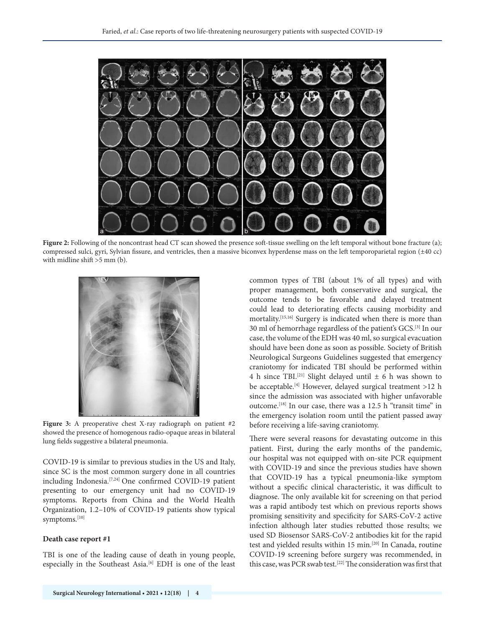

**Figure 2:** Following of the noncontrast head CT scan showed the presence soft-tissue swelling on the left temporal without bone fracture (a); compressed sulci, gyri, Sylvian fissure, and ventricles, then a massive biconvex hyperdense mass on the left temporoparietal region (±40 cc) with midline shift >5 mm (b).



**Figure 3:** A preoperative chest X-ray radiograph on patient #2 showed the presence of homogenous radio-opaque areas in bilateral lung fields suggestive a bilateral pneumonia.

COVID-19 is similar to previous studies in the US and Italy, since SC is the most common surgery done in all countries including Indonesia.[7,24] One confirmed COVID-19 patient presenting to our emergency unit had no COVID-19 symptoms. Reports from China and the World Health Organization, 1.2–10% of COVID-19 patients show typical symptoms.[10]

#### **Death case report #1**

TBI is one of the leading cause of death in young people, especially in the Southeast Asia.<sup>[6]</sup> EDH is one of the least common types of TBI (about 1% of all types) and with proper management, both conservative and surgical, the outcome tends to be favorable and delayed treatment could lead to deteriorating effects causing morbidity and mortality.[15,16] Surgery is indicated when there is more than 30 ml of hemorrhage regardless of the patient's GCS.[3] In our case, the volume of the EDH was 40 ml, so surgical evacuation should have been done as soon as possible. Society of British Neurological Surgeons Guidelines suggested that emergency craniotomy for indicated TBI should be performed within 4 h since TBI.<sup>[21]</sup> Slight delayed until  $\pm$  6 h was shown to be acceptable.[4] However, delayed surgical treatment >12 h since the admission was associated with higher unfavorable outcome.[18] In our case, there was a 12.5 h "transit time" in the emergency isolation room until the patient passed away before receiving a life-saving craniotomy.

There were several reasons for devastating outcome in this patient. First, during the early months of the pandemic, our hospital was not equipped with on-site PCR equipment with COVID-19 and since the previous studies have shown that COVID-19 has a typical pneumonia-like symptom without a specific clinical characteristic, it was difficult to diagnose. The only available kit for screening on that period was a rapid antibody test which on previous reports shows promising sensitivity and specificity for SARS-CoV-2 active infection although later studies rebutted those results; we used SD Biosensor SARS-CoV-2 antibodies kit for the rapid test and yielded results within 15 min.[20] In Canada, routine COVID-19 screening before surgery was recommended, in this case, was PCR swab test.<sup>[22]</sup> The consideration was first that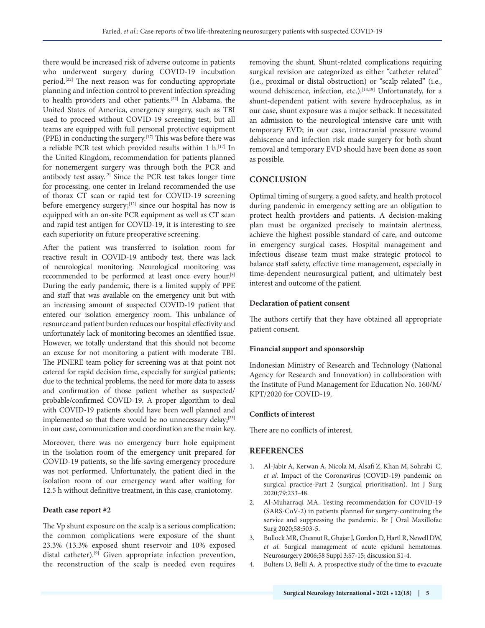there would be increased risk of adverse outcome in patients who underwent surgery during COVID-19 incubation period.[22] The next reason was for conducting appropriate planning and infection control to prevent infection spreading to health providers and other patients.[22] In Alabama, the United States of America, emergency surgery, such as TBI used to proceed without COVID-19 screening test, but all teams are equipped with full personal protective equipment (PPE) in conducting the surgery.[17] This was before there was a reliable PCR test which provided results within 1 h.<sup>[17]</sup> In the United Kingdom, recommendation for patients planned for nonemergent surgery was through both the PCR and antibody test assay.[2] Since the PCR test takes longer time for processing, one center in Ireland recommended the use of thorax CT scan or rapid test for COVID-19 screening before emergency surgery;<sup>[12]</sup> since our hospital has now is equipped with an on-site PCR equipment as well as CT scan and rapid test antigen for COVID-19, it is interesting to see each superiority on future preoperative screening.

After the patient was transferred to isolation room for reactive result in COVID-19 antibody test, there was lack of neurological monitoring. Neurological monitoring was recommended to be performed at least once every hour.[8] During the early pandemic, there is a limited supply of PPE and staff that was available on the emergency unit but with an increasing amount of suspected COVID-19 patient that entered our isolation emergency room. This unbalance of resource and patient burden reduces our hospital effectivity and unfortunately lack of monitoring becomes an identified issue. However, we totally understand that this should not become an excuse for not monitoring a patient with moderate TBI. The PINERE team policy for screening was at that point not catered for rapid decision time, especially for surgical patients; due to the technical problems, the need for more data to assess and confirmation of those patient whether as suspected/ probable/confirmed COVID-19. A proper algorithm to deal with COVID-19 patients should have been well planned and implemented so that there would be no unnecessary delay;[23] in our case, communication and coordination are the main key.

Moreover, there was no emergency burr hole equipment in the isolation room of the emergency unit prepared for COVID-19 patients, so the life-saving emergency procedure was not performed. Unfortunately, the patient died in the isolation room of our emergency ward after waiting for 12.5 h without definitive treatment, in this case, craniotomy.

## **Death case report #2**

The Vp shunt exposure on the scalp is a serious complication; the common complications were exposure of the shunt 23.3% (13.3% exposed shunt reservoir and 10% exposed distal catheter).<sup>[9]</sup> Given appropriate infection prevention, the reconstruction of the scalp is needed even requires removing the shunt. Shunt-related complications requiring surgical revision are categorized as either "catheter related" (i.e., proximal or distal obstruction) or "scalp related" (i.e., wound dehiscence, infection, etc.).<sup>[14,19]</sup> Unfortunately, for a shunt-dependent patient with severe hydrocephalus, as in our case, shunt exposure was a major setback. It necessitated an admission to the neurological intensive care unit with temporary EVD; in our case, intracranial pressure wound dehiscence and infection risk made surgery for both shunt removal and temporary EVD should have been done as soon as possible.

## **CONCLUSION**

Optimal timing of surgery, a good safety, and health protocol during pandemic in emergency setting are an obligation to protect health providers and patients. A decision-making plan must be organized precisely to maintain alertness, achieve the highest possible standard of care, and outcome in emergency surgical cases. Hospital management and infectious disease team must make strategic protocol to balance staff safety, effective time management, especially in time-dependent neurosurgical patient, and ultimately best interest and outcome of the patient.

#### **Declaration of patient consent**

The authors certify that they have obtained all appropriate patient consent.

### **Financial support and sponsorship**

Indonesian Ministry of Research and Technology (National Agency for Research and Innovation) in collaboration with the Institute of Fund Management for Education No. 160/M/ KPT/2020 for COVID-19.

#### **Conflicts of interest**

There are no conflicts of interest.

## **REFERENCES**

- 1. Al-Jabir A, Kerwan A, Nicola M, Alsafi Z, Khan M, Sohrabi C, *et al*. Impact of the Coronavirus (COVID-19) pandemic on surgical practice-Part 2 (surgical prioritisation). Int J Surg 2020;79:233-48.
- 2. Al-Muharraqi MA. Testing recommendation for COVID-19 (SARS-CoV-2) in patients planned for surgery-continuing the service and suppressing the pandemic. Br J Oral Maxillofac Surg 2020;58:503-5.
- 3. Bullock MR, Chesnut R, Ghajar J, Gordon D, Hartl R, Newell DW, *et al*. Surgical management of acute epidural hematomas. Neurosurgery 2006;58 Suppl 3:S7-15; discussion S1-4.
- 4. Bulters D, Belli A. A prospective study of the time to evacuate